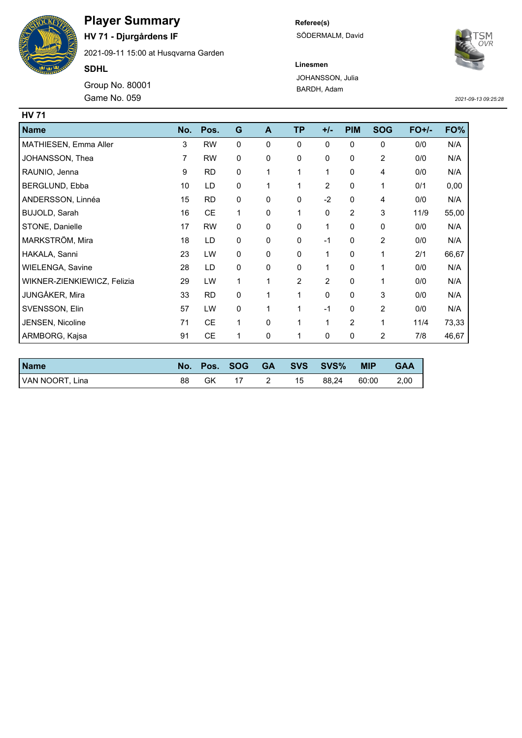

## **Player Summary**

**HV 71 - Djurgårdens IF**

2021-09-11 15:00 at Husqvarna Garden

**SDHL**

Game No. 059 Group No. 80001 **Referee(s)** SÖDERMALM, David



**Linesmen** JOHANSSON, Julia BARDH, Adam

*2021-09-13 09:25:28*

| <b>HV 71</b>                |     |           |           |             |                |                |                |                |         |       |
|-----------------------------|-----|-----------|-----------|-------------|----------------|----------------|----------------|----------------|---------|-------|
| <b>Name</b>                 | No. | Pos.      | G         | A           | <b>TP</b>      | $+/-$          | <b>PIM</b>     | <b>SOG</b>     | $FO+/-$ | FO%   |
| MATHIESEN, Emma Aller       | 3   | <b>RW</b> | 0         | $\mathbf 0$ | 0              | 0              | 0              | 0              | 0/0     | N/A   |
| JOHANSSON, Thea             | 7   | <b>RW</b> | 0         | 0           | 0              | 0              | 0              | 2              | 0/0     | N/A   |
| RAUNIO, Jenna               | 9   | <b>RD</b> | 0         | 1           | 1              | 1              | $\mathbf 0$    | 4              | 0/0     | N/A   |
| BERGLUND, Ebba              | 10  | LD        | 0         | 1           | 1              | $\overline{2}$ | 0              | 1              | 0/1     | 0,00  |
| ANDERSSON, Linnéa           | 15  | <b>RD</b> | 0         | 0           | 0              | $-2$           | $\Omega$       | 4              | 0/0     | N/A   |
| BUJOLD, Sarah               | 16  | <b>CE</b> | 1         | 0           | 1              | 0              | $\overline{c}$ | 3              | 11/9    | 55,00 |
| STONE, Danielle             | 17  | <b>RW</b> | 0         | 0           | 0              | 1              | 0              | 0              | 0/0     | N/A   |
| MARKSTRÖM, Mira             | 18  | LD        | 0         | 0           | 0              | $-1$           | 0              | 2              | 0/0     | N/A   |
| HAKALA, Sanni               | 23  | LW        | 0         | $\mathbf 0$ | 0              | 1              | $\mathbf 0$    | 1              | 2/1     | 66,67 |
| WIELENGA, Savine            | 28  | LD        | 0         | 0           | 0              | 1              | $\mathbf{0}$   | 1              | 0/0     | N/A   |
| WIKNER-ZIENKIEWICZ, Felizia | 29  | LW        | 1         | 1           | $\overline{2}$ | $\overline{2}$ | 0              | 1              | 0/0     | N/A   |
| JUNGÅKER, Mira              | 33  | <b>RD</b> | $\pmb{0}$ | 1           | 1              | 0              | $\Omega$       | 3              | 0/0     | N/A   |
| SVENSSON, Elin              | 57  | LW        | 0         | 1           | 1              | $-1$           | 0              | 2              | 0/0     | N/A   |
| JENSEN, Nicoline            | 71  | <b>CE</b> | 1         | 0           | 1              | 1              | 2              | 1              | 11/4    | 73,33 |
| ARMBORG, Kajsa              | 91  | <b>CE</b> | 1         | 0           | 1              | 0              | 0              | $\overline{2}$ | 7/8     | 46,67 |

| <b>Name</b>     |    |    | No. Pos. SOG |    | GA SVS SVS% | <b>MIP</b> | <b>GAA</b> |
|-----------------|----|----|--------------|----|-------------|------------|------------|
| VAN NOORT, Lina | 88 | GK |              | 15 | 88.24       | 60:00      | 2.00       |